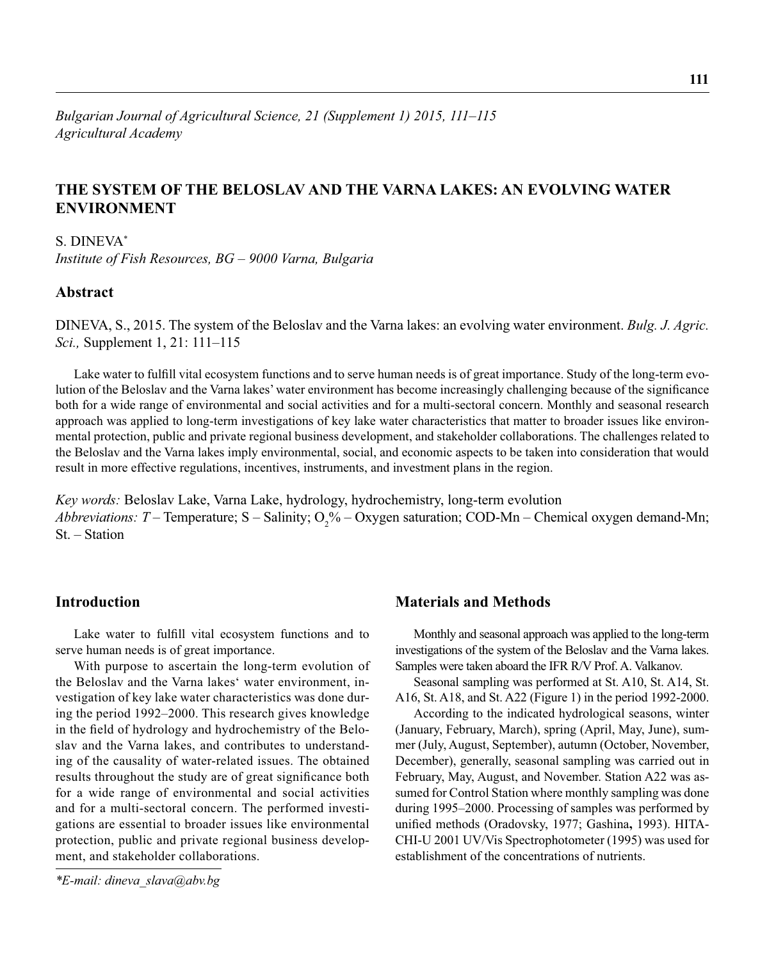# **THE SYSTEM OF THE BELOSLAV AND THE VARNA LAKES: AN EVOLVING WATER ENVIRONMENT**

# S. DINEVA\*

*Institute of Fish Resources, BG – 9000 Varna, Bulgaria*

## **Abstract**

DINEVA, S., 2015. The system of the Beloslav and the Varna lakes: an evolving water environment. *Bulg. J. Agric. Sci.,* Supplement 1, 21: 111–115

Lake water to fulfill vital ecosystem functions and to serve human needs is of great importance. Study of the long-term evolution of the Beloslav and the Varna lakes' water environment has become increasingly challenging because of the significance both for a wide range of environmental and social activities and for a multi-sectoral concern. Monthly and seasonal research approach was applied to long-term investigations of key lake water characteristics that matter to broader issues like environmental protection, public and private regional business development, and stakeholder collaborations. The challenges related to the Beloslav and the Varna lakes imply environmental, social, and economic aspects to be taken into consideration that would result in more effective regulations, incentives, instruments, and investment plans in the region.

*Key words:* Beloslav Lake, Varna Lake, hydrology, hydrochemistry, long-term evolution *Abbreviations: T* – Temperature; S – Salinity;  $O_2\%$  – Oxygen saturation; COD-Mn – Chemical oxygen demand-Mn; St. – Station

# **Introduction**

Lake water to fulfill vital ecosystem functions and to serve human needs is of great importance.

With purpose to ascertain the long-term evolution of the Beloslav and the Varna lakes' water environment, investigation of key lake water characteristics was done during the period 1992–2000. This research gives knowledge in the field of hydrology and hydrochemistry of the Beloslav and the Varna lakes, and contributes to understanding of the causality of water-related issues. The obtained results throughout the study are of great significance both for a wide range of environmental and social activities and for a multi-sectoral concern. The performed investigations are essential to broader issues like environmental protection, public and private regional business development, and stakeholder collaborations.

# **Materials and Methods**

Monthly and seasonal approach was applied to the long-term investigations of the system of the Beloslav and the Varna lakes. Samples were taken aboard the IFR R/V Prof. A. Valkanov.

Seasonal sampling was performed at St. A10, St. A14, St. A16, St. A18, and St. A22 (Figure 1) in the period 1992-2000.

According to the indicated hydrological seasons, winter (January, February, March), spring (April, May, June), summer (July, August, September), autumn (October, November, December), generally, seasonal sampling was carried out in February, May, August, and November. Station A22 was assumed for Control Station where monthly sampling was done during 1995–2000. Processing of samples was performed by unified methods (Oradovsky, 1977; Gashina, 1993). HITA-CHI-U 2001 UV/Vis Spectrophotometer (1995) was used for establishment of the concentrations of nutrients.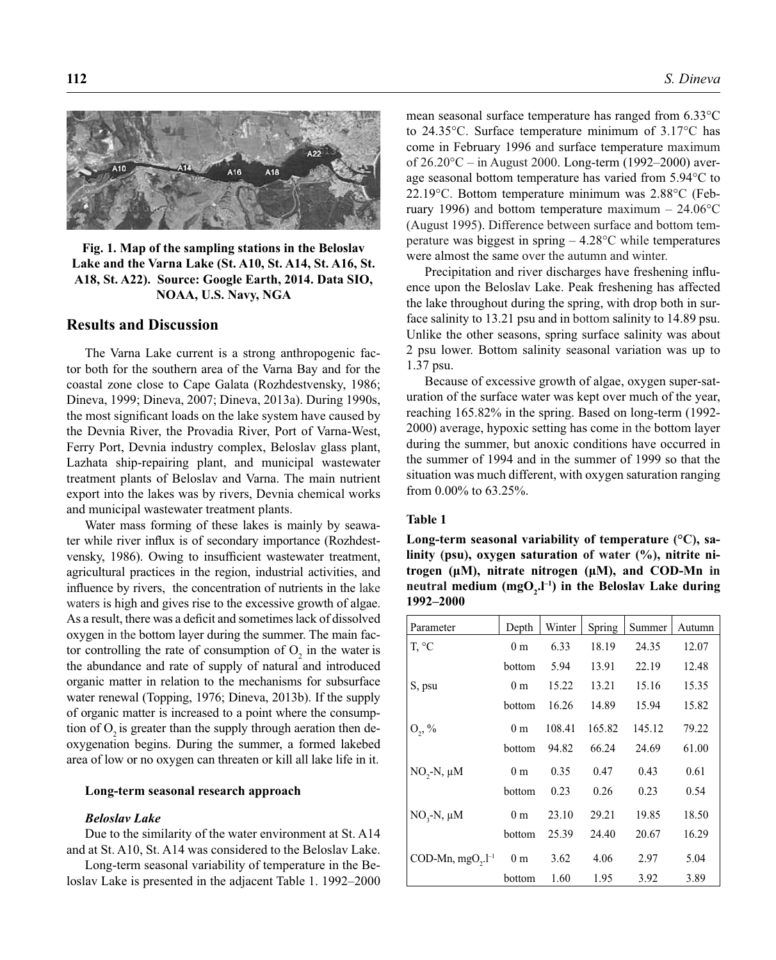

**Fig. 1. Map of the sampling stations in the Beloslav Lake and the Varna Lake (St. A10, St. A14, St. A16, St. A18, St. A22). Source: Google Earth, 2014. Data SIO, NOAA, U.S. Navy, NGA**

## **Results and Discussion**

The Varna Lake current is a strong anthropogenic factor both for the southern area of the Varna Bay and for the coastal zone close to Cape Galata (Rozhdestvensky, 1986; Dineva, 1999; Dineva, 2007; Dineva, 2013a). During 1990s, the most significant loads on the lake system have caused by the Devnia River, the Provadia River, Port of Varna-West, Ferry Port, Devnia industry complex, Beloslav glass plant, Lazhata ship-repairing plant, and municipal wastewater treatment plants of Beloslav and Varna. The main nutrient export into the lakes was by rivers, Devnia chemical works and municipal wastewater treatment plants.

Water mass forming of these lakes is mainly by seawater while river influx is of secondary importance (Rozhdestvensky, 1986). Owing to insufficient wastewater treatment, agricultural practices in the region, industrial activities, and influence by rivers, the concentration of nutrients in the lake waters is high and gives rise to the excessive growth of algae. As a result, there was a deficit and sometimes lack of dissolved oxygen in the bottom layer during the summer. The main factor controlling the rate of consumption of  $O_2$  in the water is the abundance and rate of supply of natural and introduced organic matter in relation to the mechanisms for subsurface water renewal (Topping, 1976; Dineva, 2013b). If the supply of organic matter is increased to a point where the consumption of  $O<sub>2</sub>$  is greater than the supply through aeration then deoxygenation begins. During the summer, a formed lakebed area of low or no oxygen can threaten or kill all lake life in it.

### **Long-term seasonal research approach**

### *Beloslav Lake*

Due to the similarity of the water environment at St. A14 and at St. A10, St. A14 was considered to the Beloslav Lake.

Long-term seasonal variability of temperature in the Beloslav Lake is presented in the adjacent Table 1. 1992–2000 mean seasonal surface temperature has ranged from 6.33°С to 24.35°С. Surface temperature minimum of 3.17°С has come in February 1996 and surface temperature maximum of 26.20°С – in August 2000. Long-term (1992–2000) average seasonal bottom temperature has varied from 5.94°С to 22.19°С. Bottom temperature minimum was 2.88°С (February 1996) and bottom temperature maximum –  $24.06^{\circ}$ C (August 1995). Difference between surface and bottom temperature was biggest in spring – 4.28°С while temperatures were almost the same over the autumn and winter.

Precipitation and river discharges have freshening influence upon the Beloslav Lake. Peak freshening has affected the lake throughout during the spring, with drop both in surface salinity to 13.21 psu and in bottom salinity to 14.89 psu. Unlike the other seasons, spring surface salinity was about 2 psu lower. Bottom salinity seasonal variation was up to 1.37 psu.

Because of excessive growth of algae, oxygen super-saturation of the surface water was kept over much of the year, reaching 165.82% in the spring. Based on long-term (1992- 2000) average, hypoxic setting has come in the bottom layer during the summer, but anoxic conditions have occurred in the summer of 1994 and in the summer of 1999 so that the situation was much different, with oxygen saturation ranging from 0.00% to 63.25%.

### **Table 1**

**Long-term seasonal variability of temperature (°С), salinity (psu), oxygen saturation of water (%), nitrite nitrogen (μM), nitrate nitrogen (μM), and COD-Mn in**  neutral medium (mgO<sub>2</sub>, l<sup>-1</sup>) in the Beloslav Lake during **1992–2000** 

| Parameter                    | Depth          | Winter | Spring | Summer | Autumn |
|------------------------------|----------------|--------|--------|--------|--------|
| T, °C                        | 0 <sub>m</sub> | 6.33   | 18.19  | 24.35  | 12.07  |
|                              | bottom         | 5.94   | 13.91  | 22.19  | 12.48  |
| S, psu                       | 0 <sub>m</sub> | 15.22  | 13.21  | 15.16  | 15.35  |
|                              | bottom         | 16.26  | 14.89  | 15.94  | 15.82  |
| $O_{2}$ , %                  | 0 <sub>m</sub> | 108.41 | 165.82 | 145.12 | 79.22  |
|                              | bottom         | 94.82  | 66.24  | 24.69  | 61.00  |
| $NO, -N, \mu M$              | 0 <sub>m</sub> | 0.35   | 0.47   | 0.43   | 0.61   |
|                              | bottom         | 0.23   | 0.26   | 0.23   | 0.54   |
| $NO3-N, \mu M$               | 0 <sub>m</sub> | 23.10  | 29.21  | 19.85  | 18.50  |
|                              | bottom         | 25.39  | 24.40  | 20.67  | 16.29  |
| COD-Mn, $mgO_{2}$ . $l^{-1}$ | 0 <sub>m</sub> | 3.62   | 4.06   | 2.97   | 5.04   |
|                              | bottom         | 1.60   | 1.95   | 3.92   | 3.89   |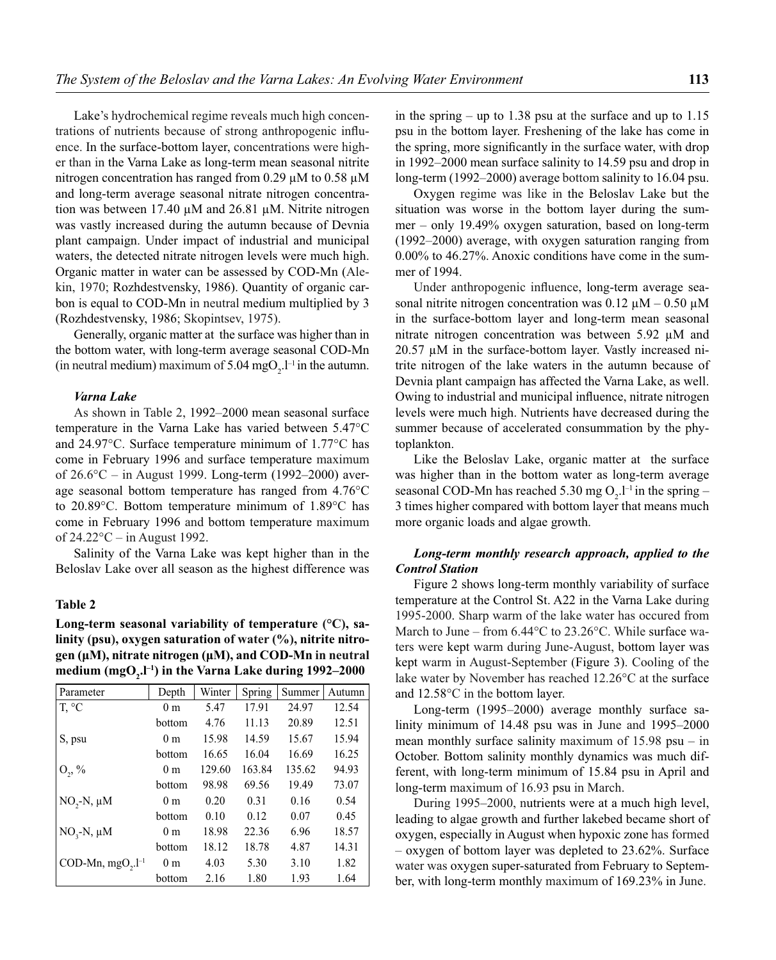Lake's hydrochemical regime reveals much high concentrations of nutrients because of strong anthropogenic influence. In the surface-bottom layer, concentrations were higher than in the Varna Lake as long-term mean seasonal nitrite nitrogen concentration has ranged from 0.29 μM to 0.58 μM and long-term average seasonal nitrate nitrogen concentration was between 17.40 μM and 26.81 μM. Nitrite nitrogen was vastly increased during the autumn because of Devnia plant campaign. Under impact of industrial and municipal waters, the detected nitrate nitrogen levels were much high. Organic matter in water can be assessed by COD-Mn (Alekin, 1970; Rozhdestvensky, 1986). Quantity of organic carbon is equal to COD-Mn in neutral medium multiplied by 3 (Rozhdestvensky, 1986; Skopintsev, 1975).

Generally, organic matter at the surface was higher than in the bottom water, with long-term average seasonal COD-Mn (in neutral medium) maximum of 5.04 mgO<sub>2</sub>. $l^{-1}$  in the autumn.

### *Varna Lake*

As shown in Table 2, 1992–2000 mean seasonal surface temperature in the Varna Lake has varied between 5.47°С and 24.97°С. Surface temperature minimum of 1.77°С has come in February 1996 and surface temperature maximum of 26.6°С – in August 1999. Long-term (1992–2000) average seasonal bottom temperature has ranged from 4.76°С to 20.89°С. Bottom temperature minimum of 1.89°С has come in February 1996 and bottom temperature maximum of 24.22°С – in August 1992.

Salinity of the Varna Lake was kept higher than in the Beloslav Lake over all season as the highest difference was

### **Table 2**

# **Long-term seasonal variability of temperature (°С), salinity (psu), oxygen saturation of water (%), nitrite nitrogen (μM), nitrate nitrogen (μM), and COD-Mn in neutral medium (mgO2 .l–1) in the Varna Lake during 1992–2000**

| Parameter                             | Depth          | Winter | Spring | Summer | Autumn |
|---------------------------------------|----------------|--------|--------|--------|--------|
| T, °C                                 | 0 <sub>m</sub> | 5.47   | 17.91  | 24.97  | 12.54  |
|                                       | bottom         | 4.76   | 11.13  | 20.89  | 12.51  |
| S, psu                                | 0 <sub>m</sub> | 15.98  | 14.59  | 15.67  | 15.94  |
|                                       | bottom         | 16.65  | 16.04  | 16.69  | 16.25  |
| $O_2$ , %                             | 0 <sub>m</sub> | 129.60 | 163.84 | 135.62 | 94.93  |
|                                       | bottom         | 98.98  | 69.56  | 19.49  | 73.07  |
| $NO, -N, \mu M$                       | 0 <sub>m</sub> | 0.20   | 0.31   | 0.16   | 0.54   |
|                                       | bottom         | 0.10   | 0.12   | 0.07   | 0.45   |
| $NO3-N, \mu M$                        | 0 <sub>m</sub> | 18.98  | 22.36  | 6.96   | 18.57  |
|                                       | bottom         | 18.12  | 18.78  | 4.87   | 14.31  |
| COD-Mn, $mgO$ <sub>2</sub> . $l^{-1}$ | 0 <sub>m</sub> | 4.03   | 5.30   | 3.10   | 1.82   |
|                                       | bottom         | 2.16   | 1.80   | 1.93   | 1.64   |

in the spring – up to 1.38 psu at the surface and up to 1.15 psu in the bottom layer. Freshening of the lake has come in the spring, more significantly in the surface water, with drop in 1992–2000 mean surface salinity to 14.59 psu and drop in long-term (1992–2000) average bottom salinity to 16.04 psu.

Oxygen regime was like in the Beloslav Lake but the situation was worse in the bottom layer during the summer – only 19.49% oxygen saturation, based on long-term (1992–2000) average, with oxygen saturation ranging from 0.00% to 46.27%. Anoxic conditions have come in the summer of 1994.

Under anthropogenic influence, long-term average seasonal nitrite nitrogen concentration was  $0.12 \mu M - 0.50 \mu M$ in the surface-bottom layer and long-term mean seasonal nitrate nitrogen concentration was between 5.92 μM and 20.57 μM in the surface-bottom layer. Vastly increased nitrite nitrogen of the lake waters in the autumn because of Devnia plant campaign has affected the Varna Lake, as well. Owing to industrial and municipal influence, nitrate nitrogen levels were much high. Nutrients have decreased during the summer because of accelerated consummation by the phytoplankton.

Like the Beloslav Lake, organic matter at the surface was higher than in the bottom water as long-term average seasonal COD-Mn has reached 5.30 mg  $O_2$ .<sup>1-1</sup> in the spring – 3 times higher compared with bottom layer that means much more organic loads and algae growth.

### *Long-term monthly research approach, applied to the Control Station*

Figure 2 shows long-term monthly variability of surface temperature at the Control St. A22 in the Varna Lake during 1995-2000. Sharp warm of the lake water has occured from March to June – from 6.44°С to 23.26°С. While surface waters were kept warm during June-August, bottom layer was kept warm in August-September (Figure 3). Cooling of the lake water by November has reached 12.26°С at the surface and 12.58°С in the bottom layer.

Long-term (1995–2000) average monthly surface salinity minimum of 14.48 psu was in June and 1995–2000 mean monthly surface salinity maximum of  $15.98$  psu – in October. Bottom salinity monthly dynamics was much different, with long-term minimum of 15.84 psu in April and long-term maximum of 16.93 psu in March.

During 1995–2000, nutrients were at a much high level, leading to algae growth and further lakebed became short of oxygen, especially in August when hypoxic zone has formed – oxygen of bottom layer was depleted to 23.62%. Surface water was oxygen super-saturated from February to September, with long-term monthly maximum of 169.23% in June.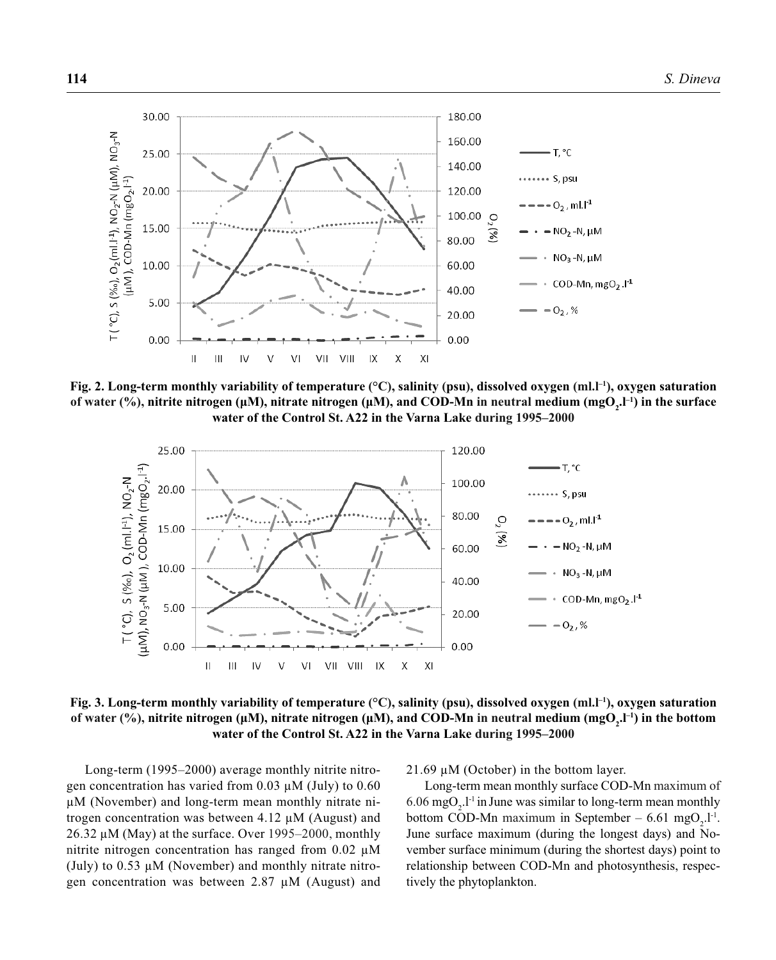

**Fig. 2. Long-term monthly variability of temperature (°C), salinity (psu), dissolved oxygen (ml.l<sup>-1</sup>), oxygen saturation of water (%), nitrite nitrogen (μM), nitrate nitrogen (μM), and COD-Mn in neutral medium (mgO<sub>2</sub>.I<sup>-1</sup>) in the surface water of the Control St. A22 in the Varna Lake during 1995–2000**



**Fig. 3. Long-term monthly variability of temperature (°С), salinity (psu), dissolved oxygen (ml.l–1), oxygen saturation of water (%), nitrite nitrogen (μM), nitrate nitrogen (μM), and COD-Mn in neutral medium (mgO<sub>2</sub>.I<sup>-1</sup>) in the bottom water of the Control St. A22 in the Varna Lake during 1995–2000**

Long-term (1995–2000) average monthly nitrite nitrogen concentration has varied from 0.03 μM (July) to 0.60 μM (November) and long-term mean monthly nitrate nitrogen concentration was between 4.12 μM (August) and 26.32 μM (May) at the surface. Over  $1995-2000$ , monthly nitrite nitrogen concentration has ranged from 0.02 μM (July) to  $0.53 \mu M$  (November) and monthly nitrate nitrogen concentration was between 2.87 μM (August) and 21.69  $\mu$ M (October) in the bottom layer.

Long-term mean monthly surface COD-Mn maximum of 6.06 mgO<sub>2</sub>.l<sup>-1</sup> in June was similar to long-term mean monthly bottom COD-Mn maximum in September – 6.61 mgO<sub>2</sub>.l<sup>-1</sup>. June surface maximum (during the longest days) and November surface minimum (during the shortest days) point to relationship between COD-Mn and photosynthesis, respectively the phytoplankton.